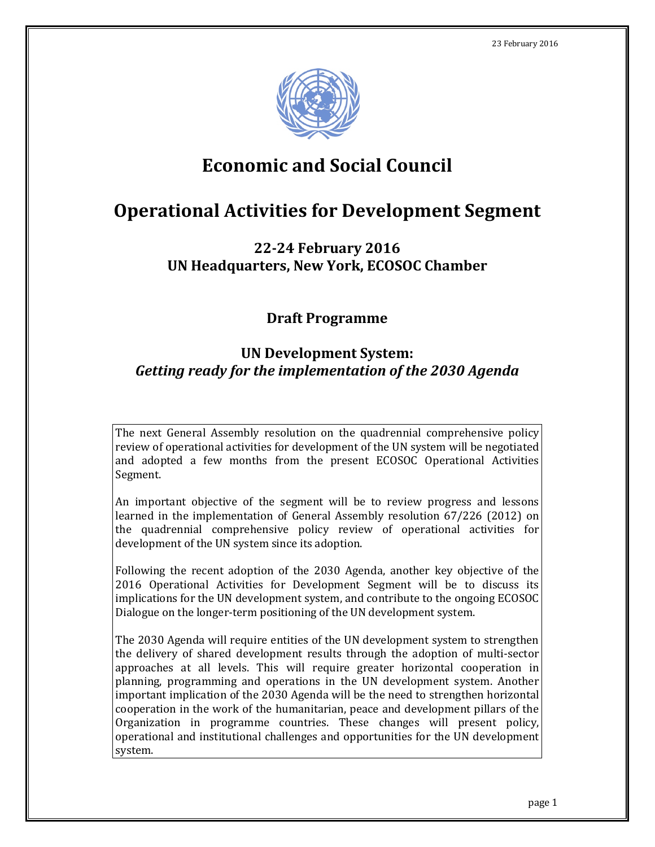

# **Economic and Social Council**

# **Operational Activities for Development Segment**

## **22-24 February 2016 UN Headquarters, New York, ECOSOC Chamber**

## **Draft Programme**

# **UN Development System:**  *Getting ready for the implementation of the 2030 Agenda*

The next General Assembly resolution on the quadrennial comprehensive policy review of operational activities for development of the UN system will be negotiated and adopted a few months from the present ECOSOC Operational Activities Segment.

An important objective of the segment will be to review progress and lessons learned in the implementation of General Assembly resolution 67/226 (2012) on the quadrennial comprehensive policy review of operational activities for development of the UN system since its adoption.

Following the recent adoption of the 2030 Agenda, another key objective of the 2016 Operational Activities for Development Segment will be to discuss its implications for the UN development system, and contribute to the ongoing ECOSOC Dialogue on the longer-term positioning of the UN development system.

The 2030 Agenda will require entities of the UN development system to strengthen the delivery of shared development results through the adoption of multi-sector approaches at all levels. This will require greater horizontal cooperation in planning, programming and operations in the UN development system. Another important implication of the 2030 Agenda will be the need to strengthen horizontal cooperation in the work of the humanitarian, peace and development pillars of the Organization in programme countries. These changes will present policy, operational and institutional challenges and opportunities for the UN development system.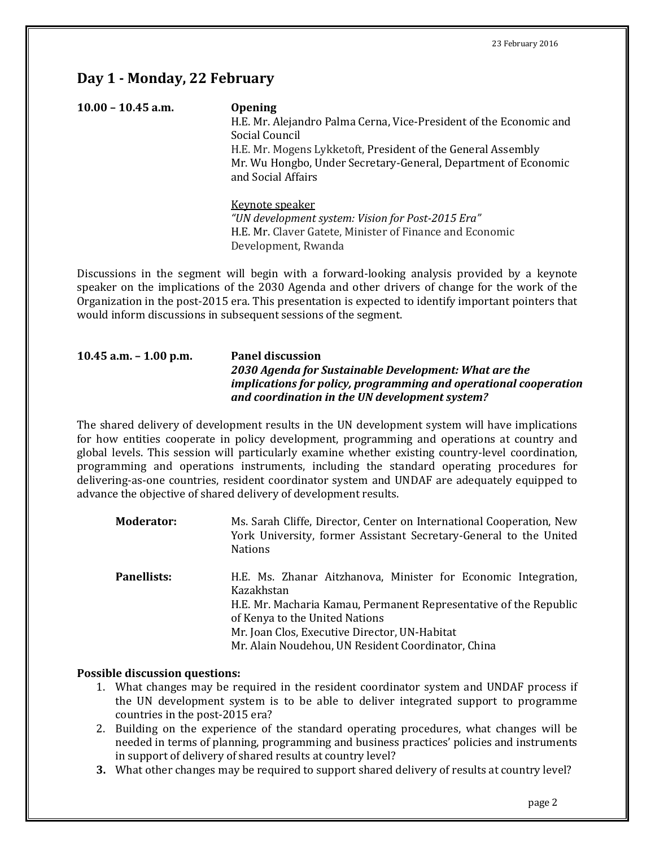## **Day 1 - Monday, 22 February**

| $10.00 - 10.45$ a.m. | <b>Opening</b><br>H.E. Mr. Alejandro Palma Cerna, Vice-President of the Economic and<br>Social Council<br>H.E. Mr. Mogens Lykketoft, President of the General Assembly<br>Mr. Wu Hongbo, Under Secretary-General, Department of Economic<br>and Social Affairs |
|----------------------|----------------------------------------------------------------------------------------------------------------------------------------------------------------------------------------------------------------------------------------------------------------|
|                      | Keynote speaker<br>"UN development system: Vision for Post-2015 Era"                                                                                                                                                                                           |

H.E. Mr. Claver Gatete, Minister of Finance and Economic Development, Rwanda

Discussions in the segment will begin with a forward-looking analysis provided by a keynote speaker on the implications of the 2030 Agenda and other drivers of change for the work of the Organization in the post-2015 era. This presentation is expected to identify important pointers that would inform discussions in subsequent sessions of the segment.

### **10.45 a.m. – 1.00 p.m. Panel discussion** *2030 Agenda for Sustainable Development: What are the implications for policy, programming and operational cooperation and coordination in the UN development system?*

The shared delivery of development results in the UN development system will have implications for how entities cooperate in policy development, programming and operations at country and global levels. This session will particularly examine whether existing country-level coordination, programming and operations instruments, including the standard operating procedures for delivering-as-one countries, resident coordinator system and UNDAF are adequately equipped to advance the objective of shared delivery of development results.

| <b>Moderator:</b>  | Ms. Sarah Cliffe, Director, Center on International Cooperation, New<br>York University, former Assistant Secretary-General to the United<br><b>Nations</b>                                                                                                                                |
|--------------------|--------------------------------------------------------------------------------------------------------------------------------------------------------------------------------------------------------------------------------------------------------------------------------------------|
| <b>Panellists:</b> | H.E. Ms. Zhanar Aitzhanova, Minister for Economic Integration,<br>Kazakhstan<br>H.E. Mr. Macharia Kamau, Permanent Representative of the Republic<br>of Kenya to the United Nations<br>Mr. Joan Clos, Executive Director, UN-Habitat<br>Mr. Alain Noudehou, UN Resident Coordinator, China |

### **Possible discussion questions:**

- 1. What changes may be required in the resident coordinator system and UNDAF process if the UN development system is to be able to deliver integrated support to programme countries in the post-2015 era?
- 2. Building on the experience of the standard operating procedures, what changes will be needed in terms of planning, programming and business practices' policies and instruments in support of delivery of shared results at country level?
- **3.** What other changes may be required to support shared delivery of results at country level?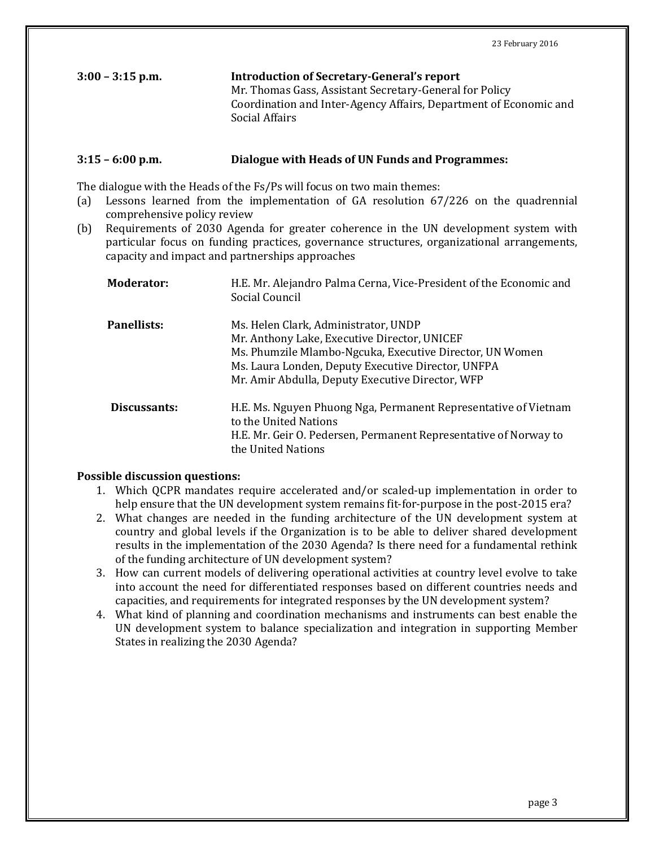| $3:00 - 3:15$ p.m. | <b>Introduction of Secretary-General's report</b>                 |
|--------------------|-------------------------------------------------------------------|
|                    | Mr. Thomas Gass, Assistant Secretary-General for Policy           |
|                    | Coordination and Inter-Agency Affairs, Department of Economic and |
|                    | Social Affairs                                                    |

#### **3:15 – 6:00 p.m. Dialogue with Heads of UN Funds and Programmes:**

The dialogue with the Heads of the Fs/Ps will focus on two main themes:<br>(a) Lessons learned from the implementation of GA resolution 67

- Lessons learned from the implementation of  $GA$  resolution  $67/226$  on the quadrennial comprehensive policy review
- (b) Requirements of 2030 Agenda for greater coherence in the UN development system with particular focus on funding practices, governance structures, organizational arrangements, capacity and impact and partnerships approaches

| <b>Moderator:</b>  | H.E. Mr. Alejandro Palma Cerna, Vice-President of the Economic and<br>Social Council                                                                                                                                                                       |
|--------------------|------------------------------------------------------------------------------------------------------------------------------------------------------------------------------------------------------------------------------------------------------------|
| <b>Panellists:</b> | Ms. Helen Clark, Administrator, UNDP<br>Mr. Anthony Lake, Executive Director, UNICEF<br>Ms. Phumzile Mlambo-Ngcuka, Executive Director, UN Women<br>Ms. Laura Londen, Deputy Executive Director, UNFPA<br>Mr. Amir Abdulla, Deputy Executive Director, WFP |
| Discussants:       | H.E. Ms. Nguyen Phuong Nga, Permanent Representative of Vietnam<br>to the United Nations<br>H.E. Mr. Geir O. Pedersen, Permanent Representative of Norway to<br>the United Nations                                                                         |

#### **Possible discussion questions:**

- 1. Which QCPR mandates require accelerated and/or scaled-up implementation in order to help ensure that the UN development system remains fit-for-purpose in the post-2015 era?
- 2. What changes are needed in the funding architecture of the UN development system at country and global levels if the Organization is to be able to deliver shared development results in the implementation of the 2030 Agenda? Is there need for a fundamental rethink of the funding architecture of UN development system?
- 3. How can current models of delivering operational activities at country level evolve to take into account the need for differentiated responses based on different countries needs and capacities, and requirements for integrated responses by the UN development system?
- 4. What kind of planning and coordination mechanisms and instruments can best enable the UN development system to balance specialization and integration in supporting Member States in realizing the 2030 Agenda?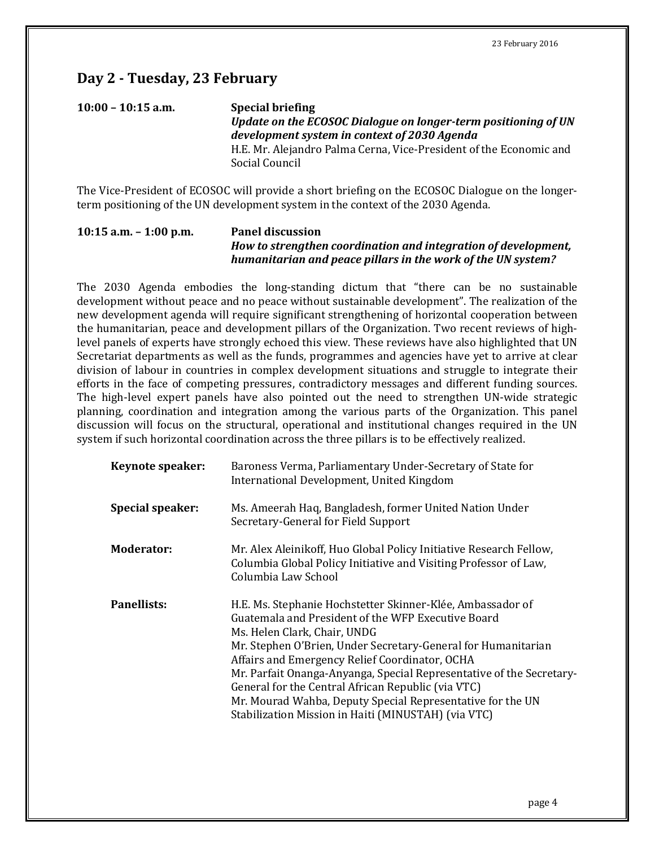## **Day 2 - Tuesday, 23 February**

## **10:00 – 10:15 a.m. Special briefing** *Update on the ECOSOC Dialogue on longer-term positioning of UN development system in context of 2030 Agenda* H.E. Mr. Alejandro Palma Cerna, Vice-President of the Economic and Social Council

The Vice-President of ECOSOC will provide a short briefing on the ECOSOC Dialogue on the longerterm positioning of the UN development system in the context of the 2030 Agenda.

#### **10:15 a.m. – 1:00 p.m. Panel discussion** *How to strengthen coordination and integration of development, humanitarian and peace pillars in the work of the UN system?*

The 2030 Agenda embodies the long-standing dictum that "there can be no sustainable development without peace and no peace without sustainable development". The realization of the new development agenda will require significant strengthening of horizontal cooperation between the humanitarian, peace and development pillars of the Organization. Two recent reviews of highlevel panels of experts have strongly echoed this view. These reviews have also highlighted that UN Secretariat departments as well as the funds, programmes and agencies have yet to arrive at clear division of labour in countries in complex development situations and struggle to integrate their efforts in the face of competing pressures, contradictory messages and different funding sources. The high-level expert panels have also pointed out the need to strengthen UN-wide strategic planning, coordination and integration among the various parts of the Organization. This panel discussion will focus on the structural, operational and institutional changes required in the UN system if such horizontal coordination across the three pillars is to be effectively realized.

| <b>Keynote speaker:</b> | Baroness Verma, Parliamentary Under-Secretary of State for<br>International Development, United Kingdom                                                                                                                                                                                                                                                                                                                                                                                                                |
|-------------------------|------------------------------------------------------------------------------------------------------------------------------------------------------------------------------------------------------------------------------------------------------------------------------------------------------------------------------------------------------------------------------------------------------------------------------------------------------------------------------------------------------------------------|
| <b>Special speaker:</b> | Ms. Ameerah Haq, Bangladesh, former United Nation Under<br>Secretary-General for Field Support                                                                                                                                                                                                                                                                                                                                                                                                                         |
| Moderator:              | Mr. Alex Aleinikoff, Huo Global Policy Initiative Research Fellow,<br>Columbia Global Policy Initiative and Visiting Professor of Law,<br>Columbia Law School                                                                                                                                                                                                                                                                                                                                                          |
| <b>Panellists:</b>      | H.E. Ms. Stephanie Hochstetter Skinner-Klée, Ambassador of<br>Guatemala and President of the WFP Executive Board<br>Ms. Helen Clark, Chair, UNDG<br>Mr. Stephen O'Brien, Under Secretary-General for Humanitarian<br>Affairs and Emergency Relief Coordinator, OCHA<br>Mr. Parfait Onanga-Anyanga, Special Representative of the Secretary-<br>General for the Central African Republic (via VTC)<br>Mr. Mourad Wahba, Deputy Special Representative for the UN<br>Stabilization Mission in Haiti (MINUSTAH) (via VTC) |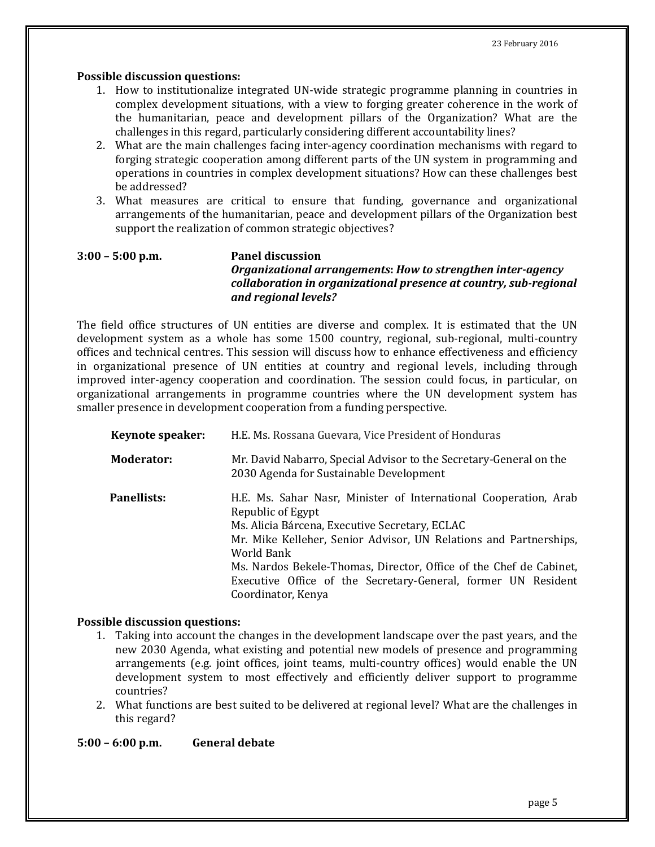#### **Possible discussion questions:**

- 1. How to institutionalize integrated UN-wide strategic programme planning in countries in complex development situations, with a view to forging greater coherence in the work of the humanitarian, peace and development pillars of the Organization? What are the challenges in this regard, particularly considering different accountability lines?
- 2. What are the main challenges facing inter-agency coordination mechanisms with regard to forging strategic cooperation among different parts of the UN system in programming and operations in countries in complex development situations? How can these challenges best be addressed?
- 3. What measures are critical to ensure that funding, governance and organizational arrangements of the humanitarian, peace and development pillars of the Organization best support the realization of common strategic objectives?

### **3:00 – 5:00 p.m. Panel discussion** *Organizational arrangements***:** *How to strengthen inter-agency collaboration in organizational presence at country, sub-regional and regional levels?*

The field office structures of UN entities are diverse and complex. It is estimated that the UN development system as a whole has some 1500 country, regional, sub-regional, multi-country offices and technical centres. This session will discuss how to enhance effectiveness and efficiency in organizational presence of UN entities at country and regional levels, including through improved inter-agency cooperation and coordination. The session could focus, in particular, on organizational arrangements in programme countries where the UN development system has smaller presence in development cooperation from a funding perspective.

| <b>Keynote speaker:</b> | H.E. Ms. Rossana Guevara, Vice President of Honduras                                                                                                                                                                                                                                                                                                                                    |
|-------------------------|-----------------------------------------------------------------------------------------------------------------------------------------------------------------------------------------------------------------------------------------------------------------------------------------------------------------------------------------------------------------------------------------|
| Moderator:              | Mr. David Nabarro, Special Advisor to the Secretary-General on the<br>2030 Agenda for Sustainable Development                                                                                                                                                                                                                                                                           |
| Panellists:             | H.E. Ms. Sahar Nasr, Minister of International Cooperation, Arab<br>Republic of Egypt<br>Ms. Alicia Bárcena, Executive Secretary, ECLAC<br>Mr. Mike Kelleher, Senior Advisor, UN Relations and Partnerships,<br>World Bank<br>Ms. Nardos Bekele-Thomas, Director, Office of the Chef de Cabinet,<br>Executive Office of the Secretary-General, former UN Resident<br>Coordinator, Kenya |

#### **Possible discussion questions:**

- 1. Taking into account the changes in the development landscape over the past years, and the new 2030 Agenda, what existing and potential new models of presence and programming arrangements (e.g. joint offices, joint teams, multi-country offices) would enable the UN development system to most effectively and efficiently deliver support to programme countries?
- 2. What functions are best suited to be delivered at regional level? What are the challenges in this regard?

**5:00 – 6:00 p.m. General debate**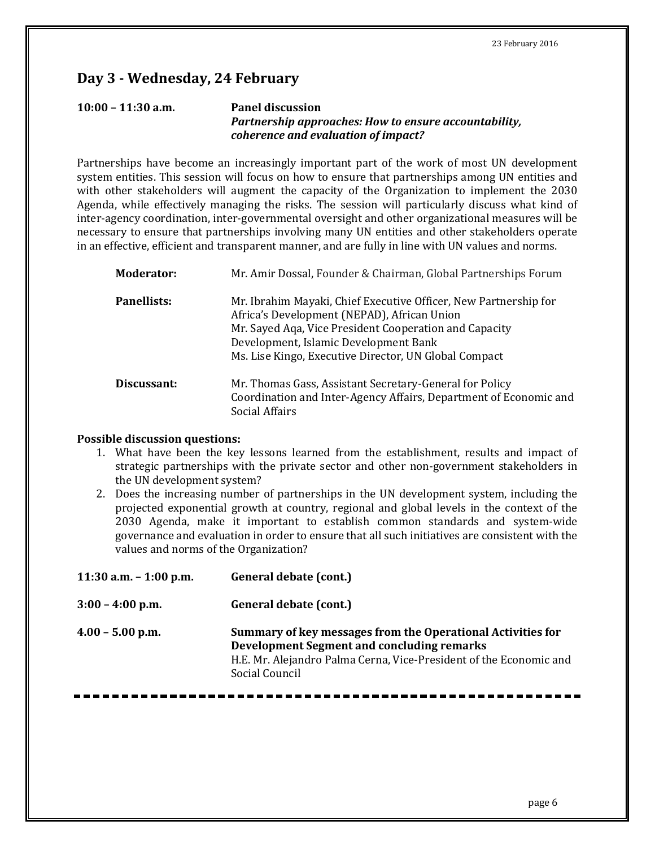## **Day 3 - Wednesday, 24 February**

### **10:00 – 11:30 a.m. Panel discussion** *Partnership approaches: How to ensure accountability, coherence and evaluation of impact?*

Partnerships have become an increasingly important part of the work of most UN development system entities. This session will focus on how to ensure that partnerships among UN entities and with other stakeholders will augment the capacity of the Organization to implement the 2030 Agenda, while effectively managing the risks. The session will particularly discuss what kind of inter-agency coordination, inter-governmental oversight and other organizational measures will be necessary to ensure that partnerships involving many UN entities and other stakeholders operate in an effective, efficient and transparent manner, and are fully in line with UN values and norms.

| <b>Moderator:</b>  | Mr. Amir Dossal, Founder & Chairman, Global Partnerships Forum                                                                                                                                                                                                              |
|--------------------|-----------------------------------------------------------------------------------------------------------------------------------------------------------------------------------------------------------------------------------------------------------------------------|
| <b>Panellists:</b> | Mr. Ibrahim Mayaki, Chief Executive Officer, New Partnership for<br>Africa's Development (NEPAD), African Union<br>Mr. Sayed Aqa, Vice President Cooperation and Capacity<br>Development, Islamic Development Bank<br>Ms. Lise Kingo, Executive Director, UN Global Compact |
| Discussant:        | Mr. Thomas Gass, Assistant Secretary-General for Policy<br>Coordination and Inter-Agency Affairs, Department of Economic and<br>Social Affairs                                                                                                                              |

#### **Possible discussion questions:**

- 1. What have been the key lessons learned from the establishment, results and impact of strategic partnerships with the private sector and other non-government stakeholders in the UN development system?
- 2. Does the increasing number of partnerships in the UN development system, including the projected exponential growth at country, regional and global levels in the context of the 2030 Agenda, make it important to establish common standards and system-wide governance and evaluation in order to ensure that all such initiatives are consistent with the values and norms of the Organization?

| 11:30 a.m. $-$ 1:00 p.m. | General debate (cont.)                                                                                                                                                                            |
|--------------------------|---------------------------------------------------------------------------------------------------------------------------------------------------------------------------------------------------|
| $3:00 - 4:00$ p.m.       | General debate (cont.)                                                                                                                                                                            |
| $4.00 - 5.00$ p.m.       | Summary of key messages from the Operational Activities for<br>Development Segment and concluding remarks<br>H.E. Mr. Alejandro Palma Cerna, Vice-President of the Economic and<br>Social Council |